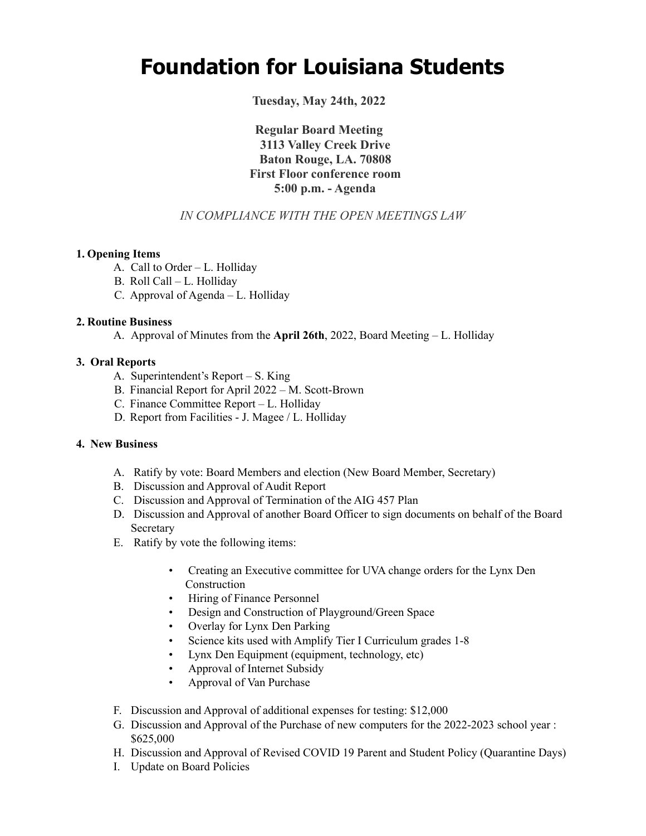# **Foundation for Louisiana Students**

**Tuesday, May 24th, 2022**

**Regular Board Meeting 3113 Valley Creek Drive Baton Rouge, LA. 70808 First Floor conference room 5:00 p.m. - Agenda**

## *IN COMPLIANCE WITH THE OPEN MEETINGS LAW*

#### **1. Opening Items**

- A. Call to Order L. Holliday
- B. Roll Call L. Holliday
- C. Approval of Agenda L. Holliday

#### **2. Routine Business**

A. Approval of Minutes from the **April 26th**, 2022, Board Meeting – L. Holliday

#### **3. Oral Reports**

- A. Superintendent's Report S. King
- B. Financial Report for April 2022 M. Scott-Brown
- C. Finance Committee Report L. Holliday
- D. Report from Facilities J. Magee / L. Holliday

#### **4. New Business**

- A. Ratify by vote: Board Members and election (New Board Member, Secretary)
- B. Discussion and Approval of Audit Report
- C. Discussion and Approval of Termination of the AIG 457 Plan
- D. Discussion and Approval of another Board Officer to sign documents on behalf of the Board **Secretary**
- E. Ratify by vote the following items:
	- Creating an Executive committee for UVA change orders for the Lynx Den Construction
	- Hiring of Finance Personnel
	- Design and Construction of Playground/Green Space
	- Overlay for Lynx Den Parking
	- Science kits used with Amplify Tier I Curriculum grades 1-8
	- Lynx Den Equipment (equipment, technology, etc)
	- Approval of Internet Subsidy
	- Approval of Van Purchase
- F. Discussion and Approval of additional expenses for testing: \$12,000
- G. Discussion and Approval of the Purchase of new computers for the 2022-2023 school year : \$625,000
- H. Discussion and Approval of Revised COVID 19 Parent and Student Policy (Quarantine Days)
- I. Update on Board Policies